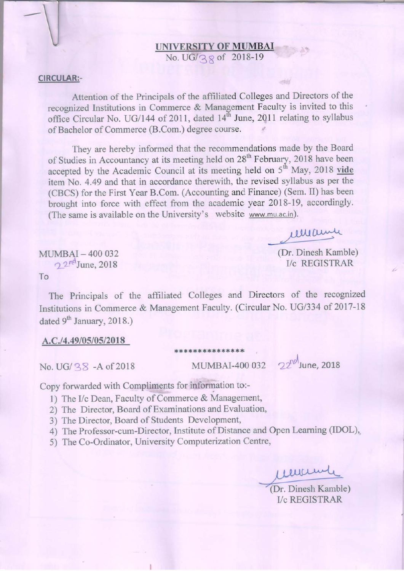# **UNIVERSITY OF MUMBAI**<br>No. UG/38 of 2018-19

#### **CIRCULAR:-**

Attention of the Principals of the affiliated Colleges and Directors of the recognized Institutions in Commerce & Management Faculty is invited to this office Circular No. UG/144 of 2011, dated 14<sup>th</sup> June, 2011 relating to syllabus of Bachelor of Commerce (B.Com.) degree course.

They are hereby informed that the recommendations made by the Board of Studies in Accountancy at its meeting held on 28<sup>th</sup> February, 2018 have been accepted by the Academic Council at its meeting held on 5<sup>th</sup> May, 2018 vide item No. 4.49 and that in accordance therewith, the revised syllabus as per the (CBCS) for the First Year B.Com. (Accounting and Finance) (Sem. II) has been brought into force with effect from the academic year 2018-19, accordingly. (The same is available on the University's website www.mu.ac.in).

imanni

(Dr. Dinesh Kamble) **I/c REGISTRAR** 

MUMBAI-400 032  $2^{nd}$ June, 2018 To

The Principals of the affiliated Colleges and Directors of the recognized Institutions in Commerce & Management Faculty. (Circular No. UG/334 of 2017-18 dated 9<sup>th</sup> January, 2018.)

\*\*\*\*\*\*\*\*\*\*\*\*\*\*\*

#### A.C./4.49/05/05/2018

No. UG/ 38 - A of 2018

MUMBAI-400 032 2<sup>2nol</sup> June, 2018

Copy forwarded with Compliments for information to:-

1) The I/c Dean, Faculty of Commerce & Management,

2) The Director, Board of Examinations and Evaluation,

3) The Director, Board of Students Development,

4) The Professor-cum-Director, Institute of Distance and Open Learning (IDOL),

5) The Co-Ordinator, University Computerization Centre,

eucund

(Dr. Dinesh Kamble) **I/c REGISTRAR**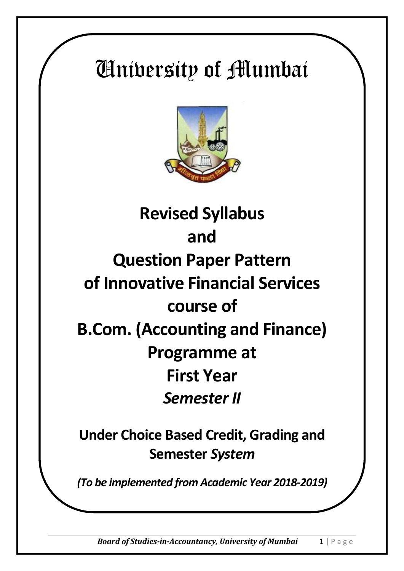# University of Mumbai



# **Revised Syllabus and Question Paper Pattern of Innovative Financial Services course of B.Com. (Accounting and Finance) Programme at First Year**  *Semester II*

**Under Choice Based Credit, Grading and Semester** *System*

*(To be implemented from Academic Year 2018-2019)*

*Board of Studies-in-Accountancy, University of Mumbai* 1 | P a g e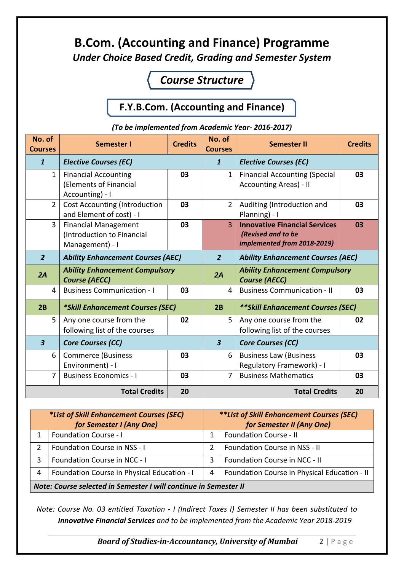## **B.Com. (Accounting and Finance) Programme** *Under Choice Based Credit, Grading and Semester System*

## *Course Structure*

#### **F.Y.B.Com. (Accounting and Finance)**

*(To be implemented from Academic Year- 2016-2017)*

| No. of<br><b>Courses</b> | <b>Semester I</b>                                                            | <b>Credits</b> | No. of<br><b>Courses</b> | <b>Semester II</b>                                                                        | <b>Credits</b> |
|--------------------------|------------------------------------------------------------------------------|----------------|--------------------------|-------------------------------------------------------------------------------------------|----------------|
| $\mathbf{1}$             | <b>Elective Courses (EC)</b>                                                 |                | $\mathbf{1}$             | <b>Elective Courses (EC)</b>                                                              |                |
| $\mathbf{1}$             | <b>Financial Accounting</b><br>(Elements of Financial<br>Accounting) - I     | 03             | $\mathbf{1}$             | <b>Financial Accounting (Special</b><br><b>Accounting Areas) - II</b>                     | 03             |
| $\overline{2}$           | <b>Cost Accounting (Introduction</b><br>and Element of cost) - I             | 03             | $\overline{2}$           | Auditing (Introduction and<br>Planning) - I                                               | 03             |
| $\overline{3}$           | <b>Financial Management</b><br>(Introduction to Financial<br>Management) - I | 03             | $\overline{3}$           | <b>Innovative Financial Services</b><br>(Revised and to be<br>implemented from 2018-2019) | 03             |
| $\overline{2}$           | <b>Ability Enhancement Courses (AEC)</b>                                     |                | $\overline{2}$           | <b>Ability Enhancement Courses (AEC)</b>                                                  |                |
| 2A                       | <b>Ability Enhancement Compulsory</b><br><b>Course (AECC)</b>                |                | 2A                       | <b>Ability Enhancement Compulsory</b><br><b>Course (AECC)</b>                             |                |
| $\overline{4}$           | <b>Business Communication - I</b>                                            | 03             | 4                        | <b>Business Communication - II</b>                                                        | 03             |
| 2B                       | *Skill Enhancement Courses (SEC)                                             |                | 2B                       | ** Skill Enhancement Courses (SEC)                                                        |                |
| 5                        | Any one course from the<br>following list of the courses                     | 02             | 5                        | Any one course from the<br>following list of the courses                                  | 02             |
| $\overline{\mathbf{3}}$  | <b>Core Courses (CC)</b>                                                     |                | $\overline{\mathbf{3}}$  | <b>Core Courses (CC)</b>                                                                  |                |
| 6                        | <b>Commerce (Business</b><br>Environment) - I                                | 03             | 6                        | <b>Business Law (Business</b><br>Regulatory Framework) - I                                | 03             |
| $\overline{7}$           | <b>Business Economics - I</b>                                                | 03             | $\overline{7}$           | <b>Business Mathematics</b>                                                               | 03             |
| <b>Total Credits</b>     |                                                                              | 20             |                          | <b>Total Credits</b>                                                                      | 20             |

| *List of Skill Enhancement Courses (SEC)                         |                                             | <i>**List of Skill Enhancement Courses (SEC)</i> |                                              |  |
|------------------------------------------------------------------|---------------------------------------------|--------------------------------------------------|----------------------------------------------|--|
| for Semester I (Any One)                                         |                                             | for Semester II (Any One)                        |                                              |  |
|                                                                  | <b>Foundation Course - I</b>                |                                                  | <b>Foundation Course - II</b>                |  |
|                                                                  | Foundation Course in NSS - I                | 2                                                | Foundation Course in NSS - II                |  |
|                                                                  | Foundation Course in NCC - I                | 3                                                | Foundation Course in NCC - II                |  |
| 4                                                                | Foundation Course in Physical Education - I | 4                                                | Foundation Course in Physical Education - II |  |
| Note: Course selected in Semester I will continue in Semester II |                                             |                                                  |                                              |  |

*Note: Course No. 03 entitled Taxation - I (Indirect Taxes I) Semester II has been substituted to Innovative Financial Services and to be implemented from the Academic Year 2018-2019*

*Board of Studies-in-Accountancy, University of Mumbai* 2 | P a g e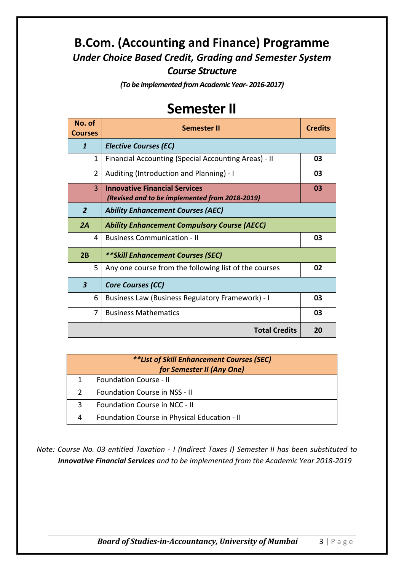### **B.Com. (Accounting and Finance) Programme** *Under Choice Based Credit, Grading and Semester System Course Structure*

*(To be implemented from Academic Year- 2016-2017)*

## **Semester II**

| No. of<br><b>Courses</b> | Semester II                                                                            |    |
|--------------------------|----------------------------------------------------------------------------------------|----|
| $\mathbf{1}$             | <b>Elective Courses (EC)</b>                                                           |    |
| 1                        | Financial Accounting (Special Accounting Areas) - II                                   | 03 |
| $\overline{2}$           | Auditing (Introduction and Planning) - I                                               | 03 |
| 3                        | <b>Innovative Financial Services</b><br>(Revised and to be implemented from 2018-2019) | 03 |
| $\overline{2}$           | <b>Ability Enhancement Courses (AEC)</b>                                               |    |
| 2A                       | <b>Ability Enhancement Compulsory Course (AECC)</b>                                    |    |
| 4                        | <b>Business Communication - II</b>                                                     | 03 |
| 2B                       | **Skill Enhancement Courses (SEC)                                                      |    |
| 5.                       | Any one course from the following list of the courses                                  | 02 |
| $\boldsymbol{3}$         | <b>Core Courses (CC)</b>                                                               |    |
| 6                        | Business Law (Business Regulatory Framework) - I                                       | 03 |
| 7                        | <b>Business Mathematics</b>                                                            | 03 |
|                          | <b>Total Credits</b>                                                                   | 20 |

| <i>**List of Skill Enhancement Courses (SEC)</i><br>for Semester II (Any One) |                                              |  |  |
|-------------------------------------------------------------------------------|----------------------------------------------|--|--|
|                                                                               | <b>Foundation Course - II</b>                |  |  |
|                                                                               | Foundation Course in NSS - II                |  |  |
| 3                                                                             | Foundation Course in NCC - II                |  |  |
| 4                                                                             | Foundation Course in Physical Education - II |  |  |

*Note: Course No. 03 entitled Taxation - I (Indirect Taxes I) Semester II has been substituted to Innovative Financial Services and to be implemented from the Academic Year 2018-2019*

*Board of Studies-in-Accountancy, University of Mumbai* 3 | P a g e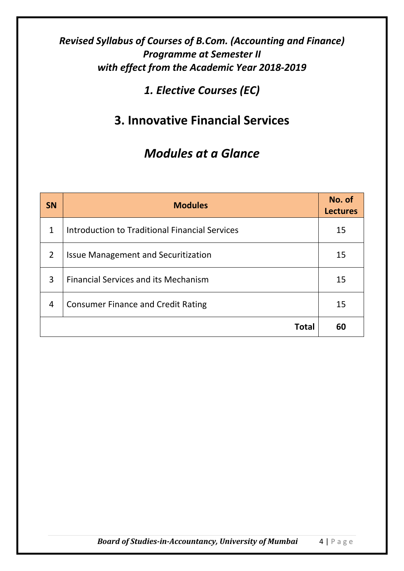### *Revised Syllabus of Courses of B.Com. (Accounting and Finance) Programme at Semester II with effect from the Academic Year 2018-2019*

*1. Elective Courses (EC)*

## **3. Innovative Financial Services**

## *Modules at a Glance*

| <b>SN</b>      | <b>Modules</b>                                 | No. of<br><b>Lectures</b> |
|----------------|------------------------------------------------|---------------------------|
| 1              | Introduction to Traditional Financial Services | 15                        |
| $\overline{2}$ | <b>Issue Management and Securitization</b>     | 15                        |
| 3              | <b>Financial Services and its Mechanism</b>    | 15                        |
| 4              | <b>Consumer Finance and Credit Rating</b>      | 15                        |
|                | <b>Total</b>                                   | 60                        |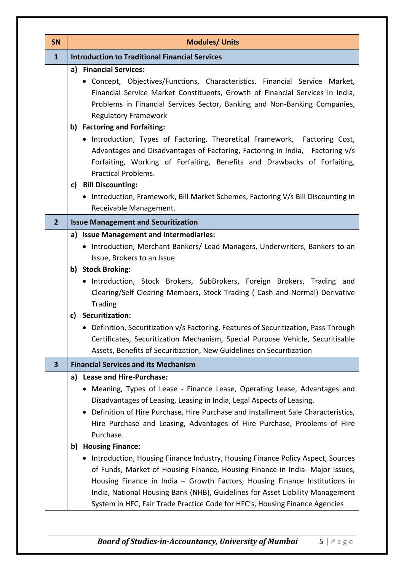| SN                      | <b>Modules/ Units</b>                                                                                                                                                                                                                                                                                                                                                                                                                 |  |  |  |  |
|-------------------------|---------------------------------------------------------------------------------------------------------------------------------------------------------------------------------------------------------------------------------------------------------------------------------------------------------------------------------------------------------------------------------------------------------------------------------------|--|--|--|--|
| $\mathbf{1}$            | <b>Introduction to Traditional Financial Services</b>                                                                                                                                                                                                                                                                                                                                                                                 |  |  |  |  |
|                         | a) Financial Services:<br>• Concept, Objectives/Functions, Characteristics, Financial Service Market,<br>Financial Service Market Constituents, Growth of Financial Services in India,<br>Problems in Financial Services Sector, Banking and Non-Banking Companies,<br><b>Regulatory Framework</b><br>b) Factoring and Forfaiting:<br>• Introduction, Types of Factoring, Theoretical Framework, Factoring Cost,                      |  |  |  |  |
|                         | Advantages and Disadvantages of Factoring, Factoring in India, Factoring v/s<br>Forfaiting, Working of Forfaiting, Benefits and Drawbacks of Forfaiting,<br><b>Practical Problems.</b><br>c) Bill Discounting:<br>Introduction, Framework, Bill Market Schemes, Factoring V/s Bill Discounting in<br>Receivable Management.                                                                                                           |  |  |  |  |
| $\overline{2}$          | <b>Issue Management and Securitization</b>                                                                                                                                                                                                                                                                                                                                                                                            |  |  |  |  |
|                         | a) Issue Management and Intermediaries:<br>• Introduction, Merchant Bankers/ Lead Managers, Underwriters, Bankers to an<br>Issue, Brokers to an Issue                                                                                                                                                                                                                                                                                 |  |  |  |  |
|                         | b) Stock Broking:<br>• Introduction, Stock Brokers, SubBrokers, Foreign Brokers, Trading and<br>Clearing/Self Clearing Members, Stock Trading ( Cash and Normal) Derivative<br><b>Trading</b>                                                                                                                                                                                                                                         |  |  |  |  |
|                         | Securitization:<br>c)<br>• Definition, Securitization v/s Factoring, Features of Securitization, Pass Through<br>Certificates, Securitization Mechanism, Special Purpose Vehicle, Securitisable<br>Assets, Benefits of Securitization, New Guidelines on Securitization                                                                                                                                                               |  |  |  |  |
| $\overline{\mathbf{3}}$ | <b>Financial Services and its Mechanism</b>                                                                                                                                                                                                                                                                                                                                                                                           |  |  |  |  |
|                         | a) Lease and Hire-Purchase:<br>• Meaning, Types of Lease - Finance Lease, Operating Lease, Advantages and<br>Disadvantages of Leasing, Leasing in India, Legal Aspects of Leasing.<br>Definition of Hire Purchase, Hire Purchase and Installment Sale Characteristics,<br>Hire Purchase and Leasing, Advantages of Hire Purchase, Problems of Hire<br>Purchase.                                                                       |  |  |  |  |
|                         | b) Housing Finance:<br>• Introduction, Housing Finance Industry, Housing Finance Policy Aspect, Sources<br>of Funds, Market of Housing Finance, Housing Finance in India- Major Issues,<br>Housing Finance in India - Growth Factors, Housing Finance Institutions in<br>India, National Housing Bank (NHB), Guidelines for Asset Liability Management<br>System in HFC, Fair Trade Practice Code for HFC's, Housing Finance Agencies |  |  |  |  |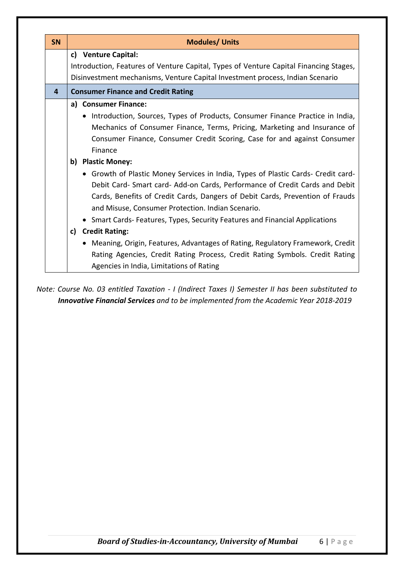| <b>SN</b> | <b>Modules/ Units</b>                                                                 |  |  |  |
|-----------|---------------------------------------------------------------------------------------|--|--|--|
|           | c) Venture Capital:                                                                   |  |  |  |
|           | Introduction, Features of Venture Capital, Types of Venture Capital Financing Stages, |  |  |  |
|           | Disinvestment mechanisms, Venture Capital Investment process, Indian Scenario         |  |  |  |
| 4         | <b>Consumer Finance and Credit Rating</b>                                             |  |  |  |
|           | a) Consumer Finance:                                                                  |  |  |  |
|           | • Introduction, Sources, Types of Products, Consumer Finance Practice in India,       |  |  |  |
|           | Mechanics of Consumer Finance, Terms, Pricing, Marketing and Insurance of             |  |  |  |
|           | Consumer Finance, Consumer Credit Scoring, Case for and against Consumer              |  |  |  |
|           | Finance                                                                               |  |  |  |
|           | <b>Plastic Money:</b><br>b)                                                           |  |  |  |
|           | • Growth of Plastic Money Services in India, Types of Plastic Cards- Credit card-     |  |  |  |
|           | Debit Card- Smart card- Add-on Cards, Performance of Credit Cards and Debit           |  |  |  |
|           | Cards, Benefits of Credit Cards, Dangers of Debit Cards, Prevention of Frauds         |  |  |  |
|           | and Misuse, Consumer Protection. Indian Scenario.                                     |  |  |  |
|           | • Smart Cards-Features, Types, Security Features and Financial Applications           |  |  |  |
|           | <b>Credit Rating:</b><br>$\mathsf{c}$                                                 |  |  |  |
|           | • Meaning, Origin, Features, Advantages of Rating, Regulatory Framework, Credit       |  |  |  |
|           | Rating Agencies, Credit Rating Process, Credit Rating Symbols. Credit Rating          |  |  |  |
|           | Agencies in India, Limitations of Rating                                              |  |  |  |

*Note: Course No. 03 entitled Taxation - I (Indirect Taxes I) Semester II has been substituted to Innovative Financial Services and to be implemented from the Academic Year 2018-2019*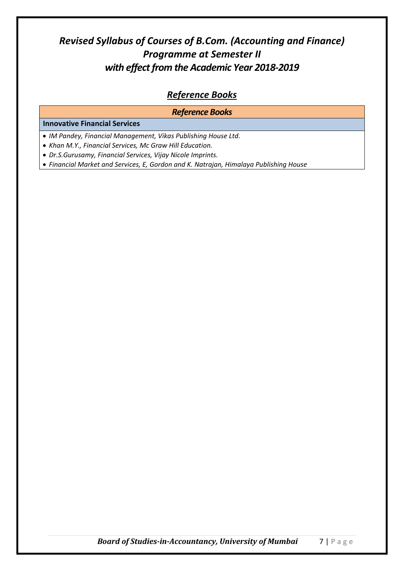### *Revised Syllabus of Courses of B.Com. (Accounting and Finance) Programme at Semester II with effect from the Academic Year 2018-2019*

#### *Reference Books*

#### *Reference Books* **Innovative Financial Services** *IM Pandey, Financial Management, Vikas Publishing House Ltd. Khan M.Y., Financial Services, Mc Graw Hill Education. Dr.S.Gurusamy, Financial Services, Vijay Nicole Imprints.*

*Financial Market and Services, E, Gordon and K. Natrajan, Himalaya Publishing House*

*Board of Studies-in-Accountancy, University of Mumbai* 7 | P a g e